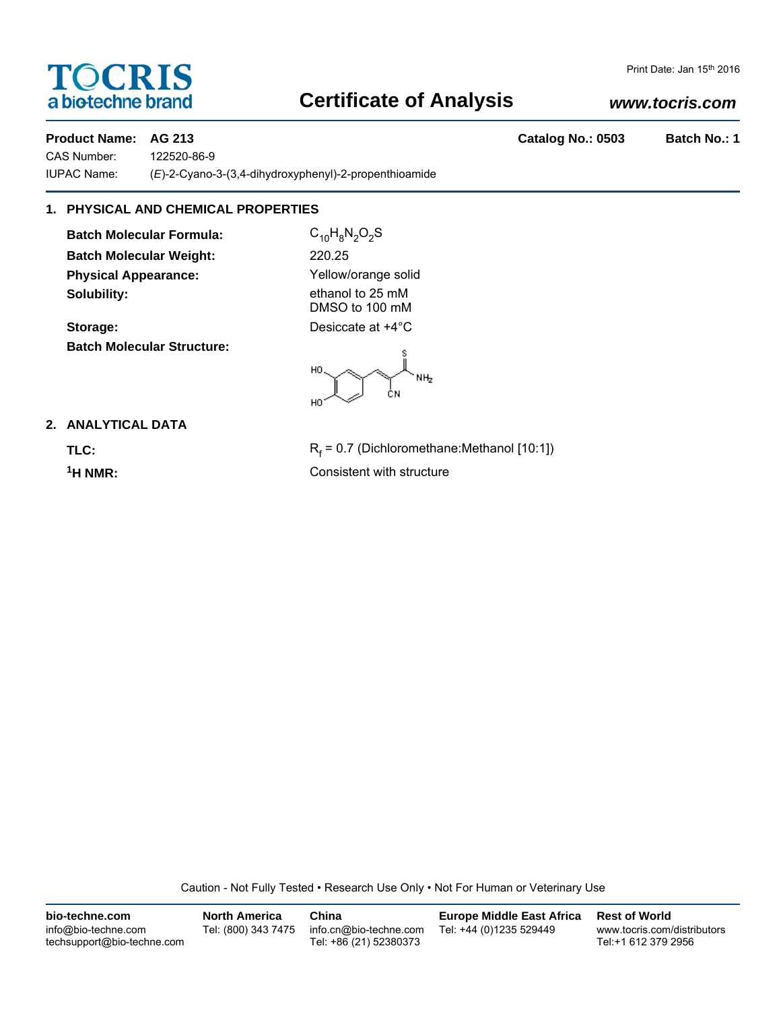# **TOCRIS** a biotechne brand

#### Print Date: Jan 15th 2016

# **Certificate of Analysis**

# *www.tocris.com*

**Product Name: AG 213 Catalog No.: 0503 Batch No.: 1**

CAS Number: 122520-86-9 IUPAC Name: (*E*)-2-Cyano-3-(3,4-dihydroxyphenyl)-2-propenthioamide

# **1. PHYSICAL AND CHEMICAL PROPERTIES**

**Batch Molecular Formula:** C<sub>10</sub>H<sub>8</sub>N<sub>2</sub>O<sub>2</sub>S **Batch Molecular Weight:** 220.25 **Physical Appearance:** Yellow/orange solid **Solubility:** ethanol to 25 mM

**Storage:** Desiccate at  $+4^{\circ}$ C **Batch Molecular Structure:**

DMSO to 100 mM

HO NH<sub>2</sub> ĊΝ HO

# **2. ANALYTICAL DATA**

TLC: R<sub>f</sub>

 $R_f$  = 0.7 (Dichloromethane:Methanol [10:1]) **1H NMR:** Consistent with structure

Caution - Not Fully Tested • Research Use Only • Not For Human or Veterinary Use

| bio-techne.com                                    | <b>North America</b> | China                                            | Europe Middle East Africa | <b>Rest of World</b>                               |
|---------------------------------------------------|----------------------|--------------------------------------------------|---------------------------|----------------------------------------------------|
| info@bio-techne.com<br>techsupport@bio-techne.com | Tel: (800) 343 7475  | info.cn@bio-techne.com<br>Tel: +86 (21) 52380373 | Tel: +44 (0)1235 529449   | www.tocris.com/distributors<br>Tel:+1 612 379 2956 |